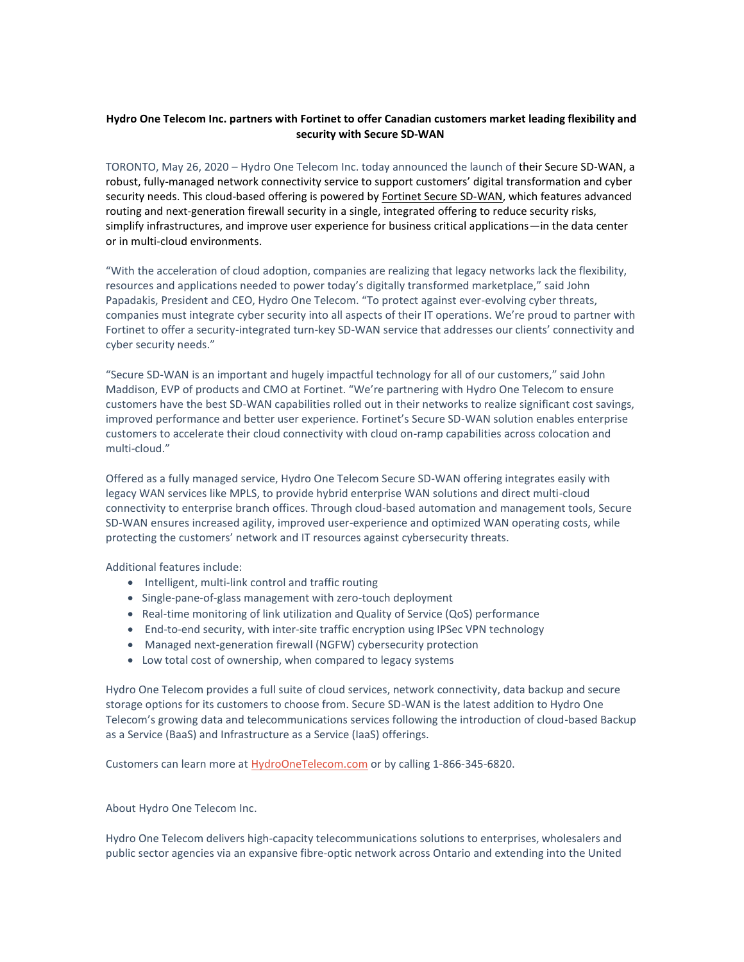## **Hydro One Telecom Inc. partners with Fortinet to offer Canadian customers market leading flexibility and security with Secure SD-WAN**

TORONTO, May 26, 2020 – Hydro One Telecom Inc. today announced the launch of their Secure SD-WAN, a robust, fully-managed network connectivity service to support customers' digital transformation and cyber security needs. This cloud-based offering is powered by [Fortinet Secure SD-WAN,](https://www.fortinet.com/solutions/service-provider/managed-secure-sd-wan-service-with-fortinet.html?utm_source=blog&utm_campaign=2019-q3-service-provider) which features advanced routing and next-generation firewall security in a single, integrated offering to reduce security risks, simplify infrastructures, and improve user experience for business critical applications—in the data center or in multi-cloud environments.

"With the acceleration of cloud adoption, companies are realizing that legacy networks lack the flexibility, resources and applications needed to power today's digitally transformed marketplace," said John Papadakis, President and CEO, Hydro One Telecom. "To protect against ever-evolving cyber threats, companies must integrate cyber security into all aspects of their IT operations. We're proud to partner with Fortinet to offer a security-integrated turn-key SD-WAN service that addresses our clients' connectivity and cyber security needs."

"Secure SD-WAN is an important and hugely impactful technology for all of our customers," said John Maddison, EVP of products and CMO at Fortinet. "We're partnering with Hydro One Telecom to ensure customers have the best SD-WAN capabilities rolled out in their networks to realize significant cost savings, improved performance and better user experience. Fortinet's Secure SD-WAN solution enables enterprise customers to accelerate their cloud connectivity with cloud on-ramp capabilities across colocation and multi-cloud."

Offered as a fully managed service, Hydro One Telecom Secure SD-WAN offering integrates easily with legacy WAN services like MPLS, to provide hybrid enterprise WAN solutions and direct multi-cloud connectivity to enterprise branch offices. Through cloud-based automation and management tools, Secure SD-WAN ensures increased agility, improved user-experience and optimized WAN operating costs, while protecting the customers' network and IT resources against cybersecurity threats.

Additional features include:

- Intelligent, multi-link control and traffic routing
- Single-pane-of-glass management with zero-touch deployment
- Real-time monitoring of link utilization and Quality of Service (QoS) performance
- End-to-end security, with inter-site traffic encryption using IPSec VPN technology
- Managed next-generation firewall (NGFW) cybersecurity protection
- Low total cost of ownership, when compared to legacy systems

Hydro One Telecom provides a full suite of cloud services, network connectivity, data backup and secure storage options for its customers to choose from. Secure SD-WAN is the latest addition to Hydro One Telecom's growing data and telecommunications services following the introduction of cloud-based Backup as a Service (BaaS) and Infrastructure as a Service (IaaS) offerings.

Customers can learn more a[t HydroOneTelecom.com](http://www.hydroonetelecom.com/technologies/managed-services/) or by calling 1-866-345-6820.

About Hydro One Telecom Inc.

Hydro One Telecom delivers high-capacity telecommunications solutions to enterprises, wholesalers and public sector agencies via an expansive fibre-optic network across Ontario and extending into the United